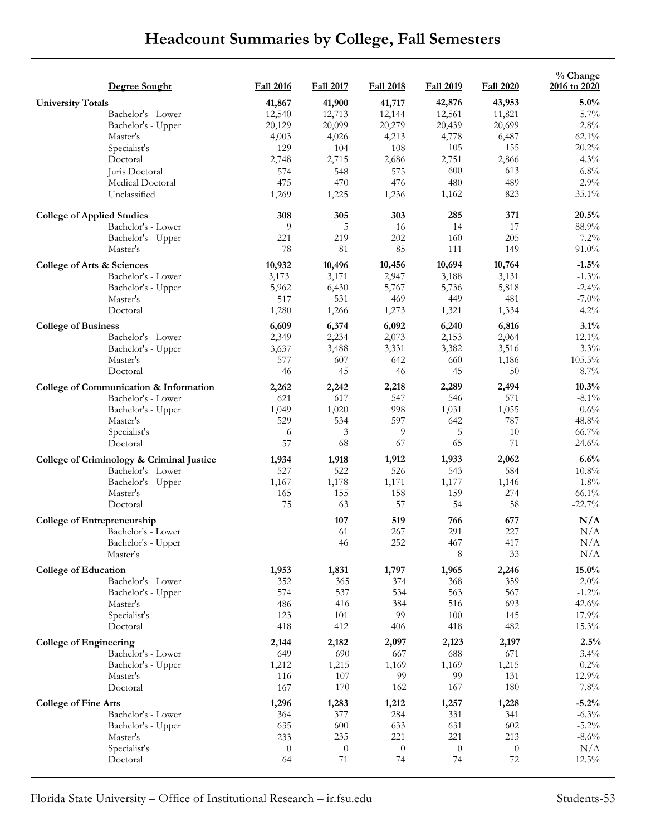## **Headcount Summaries by College, Fall Semesters**

|                                    | Degree Sought                             | <b>Fall 2016</b> | <b>Fall 2017</b> | <b>Fall 2018</b> | <b>Fall 2019</b> | <b>Fall 2020</b> | % Change<br>2016 to 2020 |
|------------------------------------|-------------------------------------------|------------------|------------------|------------------|------------------|------------------|--------------------------|
| <b>University Totals</b>           |                                           | 41,867           | 41,900           | 41,717           | 42,876           | 43,953           | 5.0%                     |
|                                    | Bachelor's - Lower                        | 12,540           | 12,713           | 12,144           | 12,561           | 11,821           | $-5.7\%$                 |
|                                    | Bachelor's - Upper                        | 20,129           | 20,099           | 20,279           | 20,439           | 20,699           | $2.8\%$                  |
|                                    | Master's                                  | 4,003            | 4,026            | 4,213            | 4,778            | 6,487            | $62.1\%$                 |
|                                    | Specialist's                              | 129              | 104              | 108              | 105              | 155              | 20.2%                    |
|                                    | Doctoral                                  | 2,748            | 2,715            | 2,686            | 2,751            | 2,866            | 4.3%                     |
|                                    | Juris Doctoral                            | 574              | 548              | 575              | 600              | 613              | $6.8\%$                  |
|                                    | Medical Doctoral                          | 475              | 470              | 476              | 480              | 489              | 2.9%                     |
|                                    | Unclassified                              | 1,269            | 1,225            | 1,236            | 1,162            | 823              | $-35.1\%$                |
| <b>College of Applied Studies</b>  |                                           | 308              | 305              | 303              | 285              | 371              | 20.5%                    |
|                                    | Bachelor's - Lower                        | 9                | 5                | 16               | 14               | 17               | 88.9%                    |
|                                    | Bachelor's - Upper                        | 221<br>78        | 219<br>81        | 202<br>85        | 160<br>111       | 205<br>149       | $-7.2%$<br>91.0%         |
|                                    | Master's                                  |                  |                  |                  |                  |                  |                          |
| College of Arts & Sciences         |                                           | 10,932           | 10,496           | 10,456           | 10,694           | 10,764           | $-1.5%$                  |
|                                    | Bachelor's - Lower                        | 3,173            | 3,171            | 2,947            | 3,188            | 3,131            | $-1.3%$                  |
|                                    | Bachelor's - Upper                        | 5,962            | 6,430            | 5,767            | 5,736            | 5,818            | $-2.4%$                  |
|                                    | Master's                                  | 517              | 531              | 469              | 449              | 481              | $-7.0\%$                 |
|                                    | Doctoral                                  | 1,280            | 1,266            | 1,273            | 1,321            | 1,334            | 4.2%                     |
| <b>College of Business</b>         |                                           | 6,609            | 6,374            | 6,092            | 6,240            | 6,816            | 3.1%                     |
|                                    | Bachelor's - Lower                        | 2,349            | 2,234            | 2,073            | 2,153            | 2,064            | $-12.1\%$                |
|                                    | Bachelor's - Upper                        | 3,637            | 3,488            | 3,331            | 3,382            | 3,516            | $-3.3%$                  |
|                                    | Master's                                  | 577              | 607              | 642              | 660              | 1,186            | $105.5\%$                |
| Doctoral                           |                                           | 46               | 45               | 46               | 45               | 50               | 8.7%                     |
|                                    | College of Communication & Information    | 2,262            | 2,242            | 2,218            | 2,289            | 2,494            | 10.3%                    |
|                                    | Bachelor's - Lower                        | 621              | 617              | 547              | 546              | 571              | $-8.1\%$                 |
|                                    | Bachelor's - Upper                        | 1,049            | 1,020            | 998              | 1,031            | 1,055            | 0.6%                     |
|                                    | Master's                                  | 529              | 534              | 597              | 642              | 787<br>10        | 48.8%                    |
|                                    | Specialist's<br>Doctoral                  | 6<br>57          | 3<br>68          | 9<br>67          | 5<br>65          | 71               | 66.7%<br>24.6%           |
|                                    |                                           |                  |                  |                  |                  |                  |                          |
|                                    | College of Criminology & Criminal Justice | 1,934            | 1,918            | 1,912            | 1,933            | 2,062            | 6.6%                     |
|                                    | Bachelor's - Lower                        | 527              | 522              | 526              | 543              | 584              | $10.8\%$                 |
|                                    | Bachelor's - Upper<br>Master's            | 1,167<br>165     | 1,178<br>155     | 1,171<br>158     | 1,177<br>159     | 1,146<br>274     | $-1.8%$<br>$66.1\%$      |
|                                    | Doctoral                                  | 75               | 63               | 57               | 54               | 58               | $-22.7%$                 |
|                                    |                                           |                  |                  |                  |                  |                  |                          |
| <b>College of Entrepreneurship</b> |                                           |                  | 107              | 519              | 766              | 677              | N/A                      |
|                                    | Bachelor's - Lower                        |                  | 61               | 267              | 291              | 227              | N/A                      |
|                                    | Bachelor's - Upper<br>Master's            |                  | 46               | 252              | 467<br>8         | 417<br>33        | N/A<br>N/A               |
|                                    |                                           |                  |                  |                  |                  |                  |                          |
| <b>College of Education</b>        |                                           | 1,953            | 1,831            | 1,797            | 1,965            | 2,246            | $15.0\%$                 |
|                                    | Bachelor's - Lower                        | 352              | 365              | 374              | 368              | 359              | 2.0%                     |
|                                    | Bachelor's - Upper                        | 574              | 537              | 534              | 563              | 567              | $-1.2\%$                 |
|                                    | Master's                                  | 486              | 416              | 384              | 516              | 693              | 42.6%                    |
|                                    | Specialist's                              | 123              | 101              | 99               | 100              | 145              | 17.9%                    |
|                                    | Doctoral                                  | 418              | 412              | 406              | 418              | 482              | 15.3%                    |
| <b>College of Engineering</b>      |                                           | 2,144            | 2,182            | 2,097            | 2,123            | 2,197            | 2.5%                     |
|                                    | Bachelor's - Lower                        | 649              | 690              | 667              | 688              | 671              | 3.4%                     |
|                                    | Bachelor's - Upper                        | 1,212            | 1,215            | 1,169            | 1,169            | 1,215            | $0.2\%$                  |
|                                    | Master's                                  | 116              | 107              | 99               | 99               | 131              | 12.9%                    |
|                                    | Doctoral                                  | 167              | 170              | 162              | 167              | 180              | $7.8\%$                  |
| <b>College of Fine Arts</b>        |                                           | 1,296            | 1,283            | 1,212            | 1,257            | 1,228            | $-5.2%$                  |
|                                    | Bachelor's - Lower                        | 364              | 377              | 284              | 331              | 341              | $-6.3%$                  |
|                                    | Bachelor's - Upper                        | 635              | 600              | 633              | 631              | 602              | $-5.2\%$                 |
|                                    | Master's                                  | 233              | 235              | 221              | 221              | 213              | $-8.6\%$                 |
|                                    | Specialist's                              | $\overline{0}$   | $\boldsymbol{0}$ | $\theta$         | $\theta$         | $\theta$         | N/A                      |
|                                    | Doctoral                                  | 64               | 71               | 74               | 74               | 72               | $12.5\%$                 |